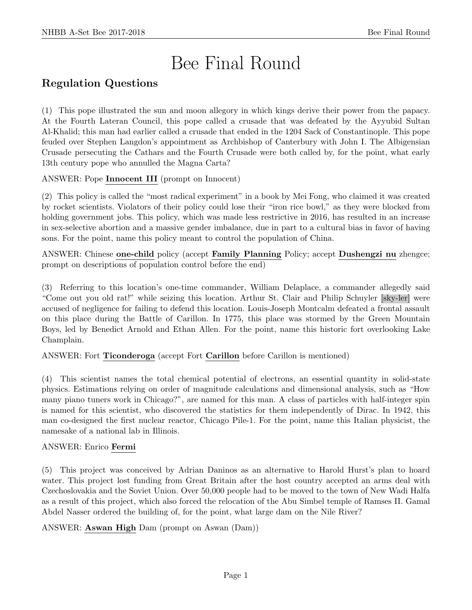# Bee Final Round

## Regulation Questions

(1) This pope illustrated the sun and moon allegory in which kings derive their power from the papacy. At the Fourth Lateran Council, this pope called a crusade that was defeated by the Ayyubid Sultan Al-Khalid; this man had earlier called a crusade that ended in the 1204 Sack of Constantinople. This pope feuded over Stephen Langdon's appointment as Archbishop of Canterbury with John I. The Albigensian Crusade persecuting the Cathars and the Fourth Crusade were both called by, for the point, what early 13th century pope who annulled the Magna Carta?

ANSWER: Pope Innocent III (prompt on Innocent)

(2) This policy is called the "most radical experiment" in a book by Mei Fong, who claimed it was created by rocket scientists. Violators of their policy could lose their "iron rice bowl," as they were blocked from holding government jobs. This policy, which was made less restrictive in 2016, has resulted in an increase in sex-selective abortion and a massive gender imbalance, due in part to a cultural bias in favor of having sons. For the point, name this policy meant to control the population of China.

ANSWER: Chinese one-child policy (accept Family Planning Policy; accept Dushengzi nu zhengce; prompt on descriptions of population control before the end)

(3) Referring to this location's one-time commander, William Delaplace, a commander allegedly said "Come out you old rat!" while seizing this location. Arthur St. Clair and Philip Schuyler [sky-ler] were accused of negligence for failing to defend this location. Louis-Joseph Montcalm defeated a frontal assault on this place during the Battle of Carillon. In 1775, this place was stormed by the Green Mountain Boys, led by Benedict Arnold and Ethan Allen. For the point, name this historic fort overlooking Lake Champlain.

ANSWER: Fort Ticonderoga (accept Fort Carillon before Carillon is mentioned)

(4) This scientist names the total chemical potential of electrons, an essential quantity in solid-state physics. Estimations relying on order of magnitude calculations and dimensional analysis, such as "How many piano tuners work in Chicago?", are named for this man. A class of particles with half-integer spin is named for this scientist, who discovered the statistics for them independently of Dirac. In 1942, this man co-designed the first nuclear reactor, Chicago Pile-1. For the point, name this Italian physicist, the namesake of a national lab in Illinois.

## ANSWER: Enrico Fermi

(5) This project was conceived by Adrian Daninos as an alternative to Harold Hurst's plan to hoard water. This project lost funding from Great Britain after the host country accepted an arms deal with Czechoslovakia and the Soviet Union. Over 50,000 people had to be moved to the town of New Wadi Halfa as a result of this project, which also forced the relocation of the Abu Simbel temple of Ramses II. Gamal Abdel Nasser ordered the building of, for the point, what large dam on the Nile River?

ANSWER: Aswan High Dam (prompt on Aswan (Dam))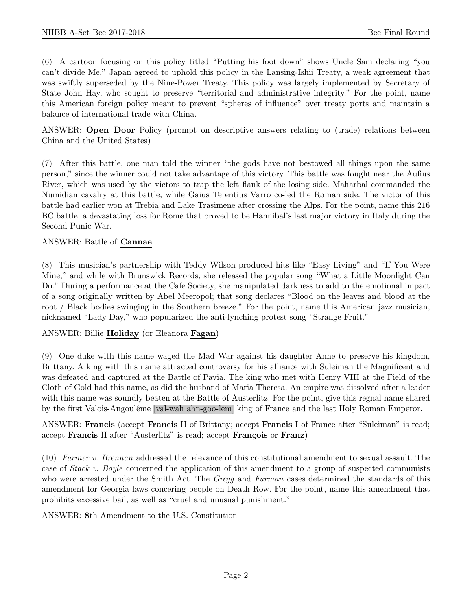(6) A cartoon focusing on this policy titled "Putting his foot down" shows Uncle Sam declaring "you can't divide Me." Japan agreed to uphold this policy in the Lansing-Ishii Treaty, a weak agreement that was swiftly superseded by the Nine-Power Treaty. This policy was largely implemented by Secretary of State John Hay, who sought to preserve "territorial and administrative integrity." For the point, name this American foreign policy meant to prevent "spheres of influence" over treaty ports and maintain a balance of international trade with China.

ANSWER: Open Door Policy (prompt on descriptive answers relating to (trade) relations between China and the United States)

(7) After this battle, one man told the winner "the gods have not bestowed all things upon the same person," since the winner could not take advantage of this victory. This battle was fought near the Aufius River, which was used by the victors to trap the left flank of the losing side. Maharbal commanded the Numidian cavalry at this battle, while Gaius Terentius Varro co-led the Roman side. The victor of this battle had earlier won at Trebia and Lake Trasimene after crossing the Alps. For the point, name this 216 BC battle, a devastating loss for Rome that proved to be Hannibal's last major victory in Italy during the Second Punic War.

## ANSWER: Battle of Cannae

(8) This musician's partnership with Teddy Wilson produced hits like "Easy Living" and "If You Were Mine," and while with Brunswick Records, she released the popular song "What a Little Moonlight Can Do." During a performance at the Cafe Society, she manipulated darkness to add to the emotional impact of a song originally written by Abel Meeropol; that song declares "Blood on the leaves and blood at the root / Black bodies swinging in the Southern breeze." For the point, name this American jazz musician, nicknamed "Lady Day," who popularized the anti-lynching protest song "Strange Fruit."

## ANSWER: Billie Holiday (or Eleanora Fagan)

(9) One duke with this name waged the Mad War against his daughter Anne to preserve his kingdom, Brittany. A king with this name attracted controversy for his alliance with Suleiman the Magnificent and was defeated and captured at the Battle of Pavia. The king who met with Henry VIII at the Field of the Cloth of Gold had this name, as did the husband of Maria Theresa. An empire was dissolved after a leader with this name was soundly beaten at the Battle of Austerlitz. For the point, give this regnal name shared by the first Valois-Angoulême [val-wah ahn-goo-lem] king of France and the last Holy Roman Emperor.

ANSWER: Francis (accept Francis II of Brittany; accept Francis I of France after "Suleiman" is read; accept Francis II after "Austerlitz" is read; accept François or Franz)

(10) Farmer v. Brennan addressed the relevance of this constitutional amendment to sexual assault. The case of Stack v. Boyle concerned the application of this amendment to a group of suspected communists who were arrested under the Smith Act. The Gregg and Furman cases determined the standards of this amendment for Georgia laws concering people on Death Row. For the point, name this amendment that prohibits excessive bail, as well as "cruel and unusual punishment."

ANSWER: 8th Amendment to the U.S. Constitution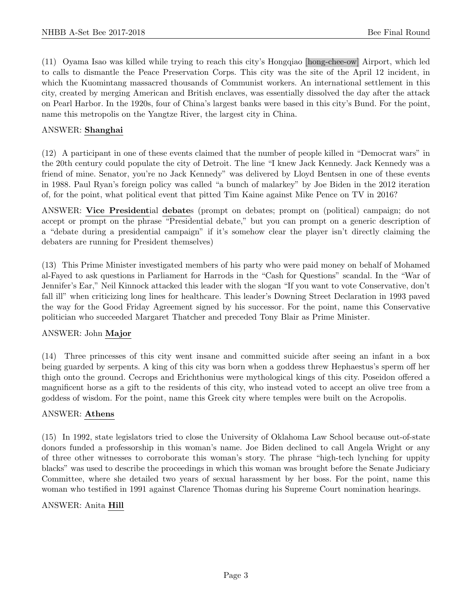(11) Oyama Isao was killed while trying to reach this city's Hongqiao [hong-chee-ow] Airport, which led to calls to dismantle the Peace Preservation Corps. This city was the site of the April 12 incident, in which the Kuomintang massacred thousands of Communist workers. An international settlement in this city, created by merging American and British enclaves, was essentially dissolved the day after the attack on Pearl Harbor. In the 1920s, four of China's largest banks were based in this city's Bund. For the point, name this metropolis on the Yangtze River, the largest city in China.

## ANSWER: Shanghai

(12) A participant in one of these events claimed that the number of people killed in "Democrat wars" in the 20th century could populate the city of Detroit. The line "I knew Jack Kennedy. Jack Kennedy was a friend of mine. Senator, you're no Jack Kennedy" was delivered by Lloyd Bentsen in one of these events in 1988. Paul Ryan's foreign policy was called "a bunch of malarkey" by Joe Biden in the 2012 iteration of, for the point, what political event that pitted Tim Kaine against Mike Pence on TV in 2016?

ANSWER: Vice Presidential debates (prompt on debates; prompt on (political) campaign; do not accept or prompt on the phrase "Presidential debate," but you can prompt on a generic description of a "debate during a presidential campaign" if it's somehow clear the player isn't directly claiming the debaters are running for President themselves)

(13) This Prime Minister investigated members of his party who were paid money on behalf of Mohamed al-Fayed to ask questions in Parliament for Harrods in the "Cash for Questions" scandal. In the "War of Jennifer's Ear," Neil Kinnock attacked this leader with the slogan "If you want to vote Conservative, don't fall ill" when criticizing long lines for healthcare. This leader's Downing Street Declaration in 1993 paved the way for the Good Friday Agreement signed by his successor. For the point, name this Conservative politician who succeeded Margaret Thatcher and preceded Tony Blair as Prime Minister.

## ANSWER: John Major

(14) Three princesses of this city went insane and committed suicide after seeing an infant in a box being guarded by serpents. A king of this city was born when a goddess threw Hephaestus's sperm off her thigh onto the ground. Cecrops and Erichthonius were mythological kings of this city. Poseidon offered a magnificent horse as a gift to the residents of this city, who instead voted to accept an olive tree from a goddess of wisdom. For the point, name this Greek city where temples were built on the Acropolis.

#### ANSWER: Athens

(15) In 1992, state legislators tried to close the University of Oklahoma Law School because out-of-state donors funded a professorship in this woman's name. Joe Biden declined to call Angela Wright or any of three other witnesses to corroborate this woman's story. The phrase "high-tech lynching for uppity blacks" was used to describe the proceedings in which this woman was brought before the Senate Judiciary Committee, where she detailed two years of sexual harassment by her boss. For the point, name this woman who testified in 1991 against Clarence Thomas during his Supreme Court nomination hearings.

#### ANSWER: Anita Hill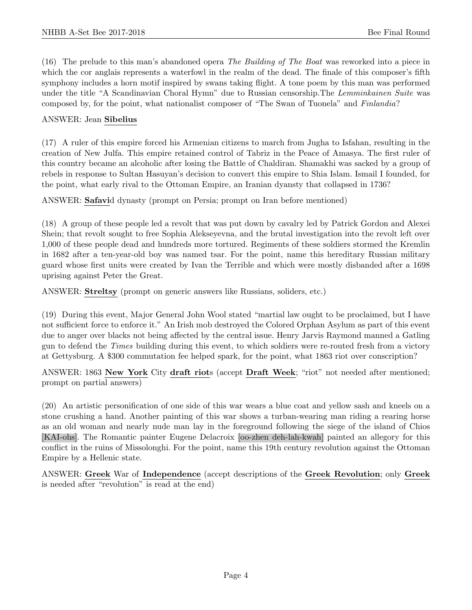(16) The prelude to this man's abandoned opera The Building of The Boat was reworked into a piece in which the cor anglais represents a waterfowl in the realm of the dead. The finale of this composer's fifth symphony includes a horn motif inspired by swans taking flight. A tone poem by this man was performed under the title "A Scandinavian Choral Hymn" due to Russian censorship.The Lemminkainen Suite was composed by, for the point, what nationalist composer of "The Swan of Tuonela" and Finlandia?

## ANSWER: Jean Sibelius

(17) A ruler of this empire forced his Armenian citizens to march from Jugha to Isfahan, resulting in the creation of New Julfa. This empire retained control of Tabriz in the Peace of Amasya. The first ruler of this country became an alcoholic after losing the Battle of Chaldiran. Shamakhi was sacked by a group of rebels in response to Sultan Hasuyan's decision to convert this empire to Shia Islam. Ismail I founded, for the point, what early rival to the Ottoman Empire, an Iranian dyansty that collapsed in 1736?

ANSWER: Safavid dynasty (prompt on Persia; prompt on Iran before mentioned)

(18) A group of these people led a revolt that was put down by cavalry led by Patrick Gordon and Alexei Shein; that revolt sought to free Sophia Alekseyevna, and the brutal investigation into the revolt left over 1,000 of these people dead and hundreds more tortured. Regiments of these soldiers stormed the Kremlin in 1682 after a ten-year-old boy was named tsar. For the point, name this hereditary Russian military guard whose first units were created by Ivan the Terrible and which were mostly disbanded after a 1698 uprising against Peter the Great.

ANSWER: Streltsy (prompt on generic answers like Russians, soliders, etc.)

(19) During this event, Major General John Wool stated "martial law ought to be proclaimed, but I have not sufficient force to enforce it." An Irish mob destroyed the Colored Orphan Asylum as part of this event due to anger over blacks not being affected by the central issue. Henry Jarvis Raymond manned a Gatling gun to defend the Times building during this event, to which soldiers were re-routed fresh from a victory at Gettysburg. A \$300 commutation fee helped spark, for the point, what 1863 riot over conscription?

ANSWER: 1863 New York City draft riots (accept Draft Week; "riot" not needed after mentioned; prompt on partial answers)

(20) An artistic personification of one side of this war wears a blue coat and yellow sash and kneels on a stone crushing a hand. Another painting of this war shows a turban-wearing man riding a rearing horse as an old woman and nearly nude man lay in the foreground following the siege of the island of Chios [KAI-ohs]. The Romantic painter Eugene Delacroix [oo-zhen deh-lah-kwah] painted an allegory for this conflict in the ruins of Missolonghi. For the point, name this 19th century revolution against the Ottoman Empire by a Hellenic state.

ANSWER: Greek War of Independence (accept descriptions of the Greek Revolution; only Greek is needed after "revolution" is read at the end)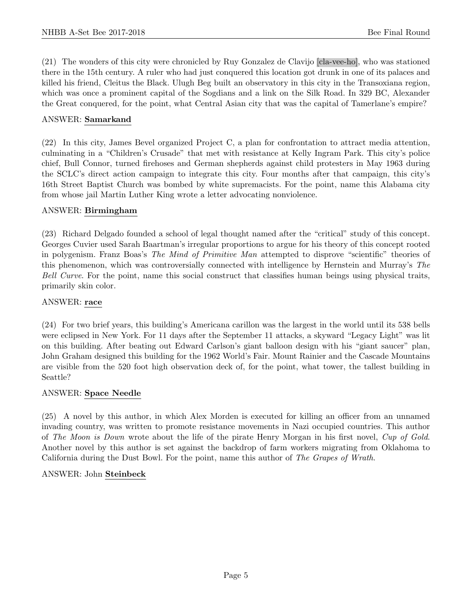(21) The wonders of this city were chronicled by Ruy Gonzalez de Clavijo [cla-vee-ho], who was stationed there in the 15th century. A ruler who had just conquered this location got drunk in one of its palaces and killed his friend, Cleitus the Black. Ulugh Beg built an observatory in this city in the Transoxiana region, which was once a prominent capital of the Sogdians and a link on the Silk Road. In 329 BC, Alexander the Great conquered, for the point, what Central Asian city that was the capital of Tamerlane's empire?

## ANSWER: Samarkand

(22) In this city, James Bevel organized Project C, a plan for confrontation to attract media attention, culminating in a "Children's Crusade" that met with resistance at Kelly Ingram Park. This city's police chief, Bull Connor, turned firehoses and German shepherds against child protesters in May 1963 during the SCLC's direct action campaign to integrate this city. Four months after that campaign, this city's 16th Street Baptist Church was bombed by white supremacists. For the point, name this Alabama city from whose jail Martin Luther King wrote a letter advocating nonviolence.

## ANSWER: Birmingham

(23) Richard Delgado founded a school of legal thought named after the "critical" study of this concept. Georges Cuvier used Sarah Baartman's irregular proportions to argue for his theory of this concept rooted in polygenism. Franz Boas's The Mind of Primitive Man attempted to disprove "scientific" theories of this phenomenon, which was controversially connected with intelligence by Hernstein and Murray's The Bell Curve. For the point, name this social construct that classifies human beings using physical traits, primarily skin color.

## ANSWER: race

(24) For two brief years, this building's Americana carillon was the largest in the world until its 538 bells were eclipsed in New York. For 11 days after the September 11 attacks, a skyward "Legacy Light" was lit on this building. After beating out Edward Carlson's giant balloon design with his "giant saucer" plan, John Graham designed this building for the 1962 World's Fair. Mount Rainier and the Cascade Mountains are visible from the 520 foot high observation deck of, for the point, what tower, the tallest building in Seattle?

## ANSWER: Space Needle

(25) A novel by this author, in which Alex Morden is executed for killing an officer from an unnamed invading country, was written to promote resistance movements in Nazi occupied countries. This author of The Moon is Down wrote about the life of the pirate Henry Morgan in his first novel, Cup of Gold. Another novel by this author is set against the backdrop of farm workers migrating from Oklahoma to California during the Dust Bowl. For the point, name this author of The Grapes of Wrath.

#### ANSWER: John Steinbeck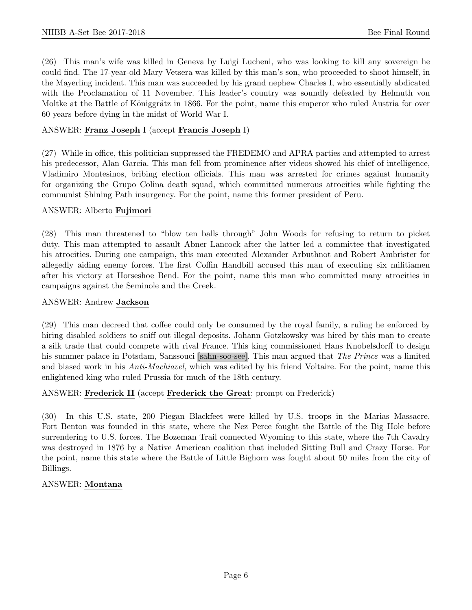(26) This man's wife was killed in Geneva by Luigi Lucheni, who was looking to kill any sovereign he could find. The 17-year-old Mary Vetsera was killed by this man's son, who proceeded to shoot himself, in the Mayerling incident. This man was succeeded by his grand nephew Charles I, who essentially abdicated with the Proclamation of 11 November. This leader's country was soundly defeated by Helmuth von Moltke at the Battle of Königgrätz in 1866. For the point, name this emperor who ruled Austria for over 60 years before dying in the midst of World War I.

## ANSWER: Franz Joseph I (accept Francis Joseph I)

(27) While in office, this politician suppressed the FREDEMO and APRA parties and attempted to arrest his predecessor, Alan Garcia. This man fell from prominence after videos showed his chief of intelligence, Vladimiro Montesinos, bribing election officials. This man was arrested for crimes against humanity for organizing the Grupo Colina death squad, which committed numerous atrocities while fighting the communist Shining Path insurgency. For the point, name this former president of Peru.

## ANSWER: Alberto Fujimori

(28) This man threatened to "blow ten balls through" John Woods for refusing to return to picket duty. This man attempted to assault Abner Lancock after the latter led a committee that investigated his atrocities. During one campaign, this man executed Alexander Arbuthnot and Robert Ambrister for allegedly aiding enemy forces. The first Coffin Handbill accused this man of executing six militiamen after his victory at Horseshoe Bend. For the point, name this man who committed many atrocities in campaigns against the Seminole and the Creek.

## ANSWER: Andrew Jackson

(29) This man decreed that coffee could only be consumed by the royal family, a ruling he enforced by hiring disabled soldiers to sniff out illegal deposits. Johann Gotzkowsky was hired by this man to create a silk trade that could compete with rival France. This king commissioned Hans Knobelsdorff to design his summer palace in Potsdam, Sanssouci [sahn-soo-see]. This man argued that The Prince was a limited and biased work in his Anti-Machiavel, which was edited by his friend Voltaire. For the point, name this enlightened king who ruled Prussia for much of the 18th century.

## ANSWER: Frederick II (accept Frederick the Great; prompt on Frederick)

(30) In this U.S. state, 200 Piegan Blackfeet were killed by U.S. troops in the Marias Massacre. Fort Benton was founded in this state, where the Nez Perce fought the Battle of the Big Hole before surrendering to U.S. forces. The Bozeman Trail connected Wyoming to this state, where the 7th Cavalry was destroyed in 1876 by a Native American coalition that included Sitting Bull and Crazy Horse. For the point, name this state where the Battle of Little Bighorn was fought about 50 miles from the city of Billings.

## ANSWER: Montana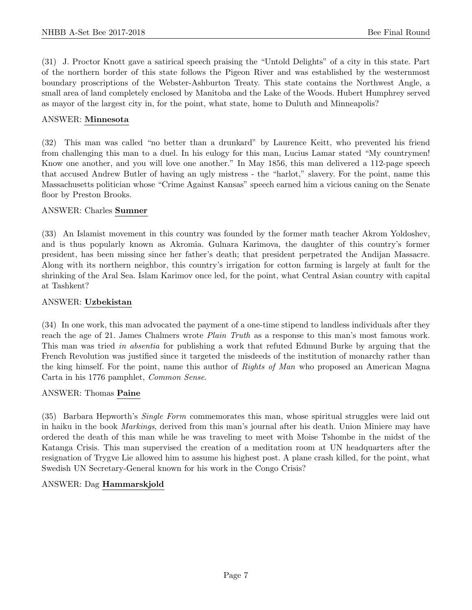(31) J. Proctor Knott gave a satirical speech praising the "Untold Delights" of a city in this state. Part of the northern border of this state follows the Pigeon River and was established by the westernmost boundary proscriptions of the Webster-Ashburton Treaty. This state contains the Northwest Angle, a small area of land completely enclosed by Manitoba and the Lake of the Woods. Hubert Humphrey served as mayor of the largest city in, for the point, what state, home to Duluth and Minneapolis?

## ANSWER: Minnesota

(32) This man was called "no better than a drunkard" by Laurence Keitt, who prevented his friend from challenging this man to a duel. In his eulogy for this man, Lucius Lamar stated "My countrymen! Know one another, and you will love one another." In May 1856, this man delivered a 112-page speech that accused Andrew Butler of having an ugly mistress - the "harlot," slavery. For the point, name this Massachusetts politician whose "Crime Against Kansas" speech earned him a vicious caning on the Senate floor by Preston Brooks.

#### ANSWER: Charles Sumner

(33) An Islamist movement in this country was founded by the former math teacher Akrom Yoldoshev, and is thus popularly known as Akromia. Gulnara Karimova, the daughter of this country's former president, has been missing since her father's death; that president perpetrated the Andijan Massacre. Along with its northern neighbor, this country's irrigation for cotton farming is largely at fault for the shrinking of the Aral Sea. Islam Karimov once led, for the point, what Central Asian country with capital at Tashkent?

#### ANSWER: Uzbekistan

(34) In one work, this man advocated the payment of a one-time stipend to landless individuals after they reach the age of 21. James Chalmers wrote *Plain Truth* as a response to this man's most famous work. This man was tried in absentia for publishing a work that refuted Edmund Burke by arguing that the French Revolution was justified since it targeted the misdeeds of the institution of monarchy rather than the king himself. For the point, name this author of Rights of Man who proposed an American Magna Carta in his 1776 pamphlet, Common Sense.

#### ANSWER: Thomas Paine

(35) Barbara Hepworth's Single Form commemorates this man, whose spiritual struggles were laid out in haiku in the book Markings, derived from this man's journal after his death. Union Miniere may have ordered the death of this man while he was traveling to meet with Moise Tshombe in the midst of the Katanga Crisis. This man supervised the creation of a meditation room at UN headquarters after the resignation of Trygve Lie allowed him to assume his highest post. A plane crash killed, for the point, what Swedish UN Secretary-General known for his work in the Congo Crisis?

## ANSWER: Dag Hammarskjold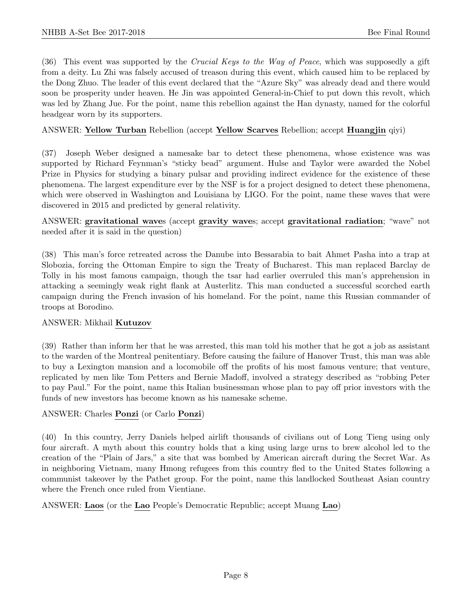(36) This event was supported by the Crucial Keys to the Way of Peace, which was supposedly a gift from a deity. Lu Zhi was falsely accused of treason during this event, which caused him to be replaced by the Dong Zhuo. The leader of this event declared that the "Azure Sky" was already dead and there would soon be prosperity under heaven. He Jin was appointed General-in-Chief to put down this revolt, which was led by Zhang Jue. For the point, name this rebellion against the Han dynasty, named for the colorful headgear worn by its supporters.

## ANSWER: Yellow Turban Rebellion (accept Yellow Scarves Rebellion; accept Huangjin qiyi)

(37) Joseph Weber designed a namesake bar to detect these phenomena, whose existence was was supported by Richard Feynman's "sticky bead" argument. Hulse and Taylor were awarded the Nobel Prize in Physics for studying a binary pulsar and providing indirect evidence for the existence of these phenomena. The largest expenditure ever by the NSF is for a project designed to detect these phenomena, which were observed in Washington and Louisiana by LIGO. For the point, name these waves that were discovered in 2015 and predicted by general relativity.

## ANSWER: gravitational waves (accept gravity waves; accept gravitational radiation; "wave" not needed after it is said in the question)

(38) This man's force retreated across the Danube into Bessarabia to bait Ahmet Pasha into a trap at Slobozia, forcing the Ottoman Empire to sign the Treaty of Bucharest. This man replaced Barclay de Tolly in his most famous campaign, though the tsar had earlier overruled this man's apprehension in attacking a seemingly weak right flank at Austerlitz. This man conducted a successful scorched earth campaign during the French invasion of his homeland. For the point, name this Russian commander of troops at Borodino.

#### ANSWER: Mikhail Kutuzov

(39) Rather than inform her that he was arrested, this man told his mother that he got a job as assistant to the warden of the Montreal penitentiary. Before causing the failure of Hanover Trust, this man was able to buy a Lexington mansion and a locomobile off the profits of his most famous venture; that venture, replicated by men like Tom Petters and Bernie Madoff, involved a strategy described as "robbing Peter to pay Paul." For the point, name this Italian businessman whose plan to pay off prior investors with the funds of new investors has become known as his namesake scheme.

#### ANSWER: Charles Ponzi (or Carlo Ponzi)

(40) In this country, Jerry Daniels helped airlift thousands of civilians out of Long Tieng using only four aircraft. A myth about this country holds that a king using large urns to brew alcohol led to the creation of the "Plain of Jars," a site that was bombed by American aircraft during the Secret War. As in neighboring Vietnam, many Hmong refugees from this country fled to the United States following a communist takeover by the Pathet group. For the point, name this landlocked Southeast Asian country where the French once ruled from Vientiane.

## ANSWER: Laos (or the Lao People's Democratic Republic; accept Muang Lao)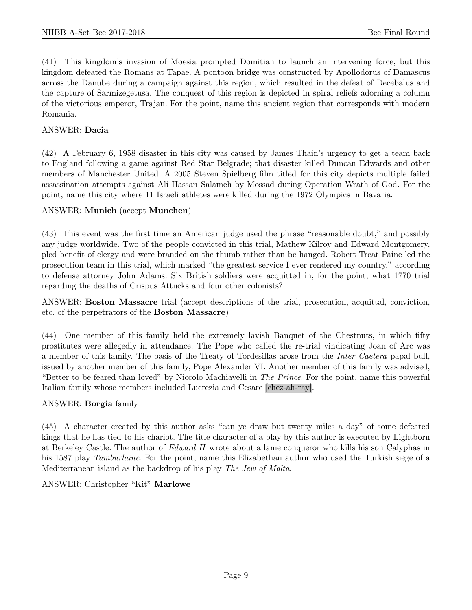(41) This kingdom's invasion of Moesia prompted Domitian to launch an intervening force, but this kingdom defeated the Romans at Tapae. A pontoon bridge was constructed by Apollodorus of Damascus across the Danube during a campaign against this region, which resulted in the defeat of Decebalus and the capture of Sarmizegetusa. The conquest of this region is depicted in spiral reliefs adorning a column of the victorious emperor, Trajan. For the point, name this ancient region that corresponds with modern Romania.

## ANSWER: Dacia

(42) A February 6, 1958 disaster in this city was caused by James Thain's urgency to get a team back to England following a game against Red Star Belgrade; that disaster killed Duncan Edwards and other members of Manchester United. A 2005 Steven Spielberg film titled for this city depicts multiple failed assassination attempts against Ali Hassan Salameh by Mossad during Operation Wrath of God. For the point, name this city where 11 Israeli athletes were killed during the 1972 Olympics in Bavaria.

## ANSWER: Munich (accept Munchen)

(43) This event was the first time an American judge used the phrase "reasonable doubt," and possibly any judge worldwide. Two of the people convicted in this trial, Mathew Kilroy and Edward Montgomery, pled benefit of clergy and were branded on the thumb rather than be hanged. Robert Treat Paine led the prosecution team in this trial, which marked "the greatest service I ever rendered my country," according to defense attorney John Adams. Six British soldiers were acquitted in, for the point, what 1770 trial regarding the deaths of Crispus Attucks and four other colonists?

ANSWER: Boston Massacre trial (accept descriptions of the trial, prosecution, acquittal, conviction, etc. of the perpetrators of the Boston Massacre)

(44) One member of this family held the extremely lavish Banquet of the Chestnuts, in which fifty prostitutes were allegedly in attendance. The Pope who called the re-trial vindicating Joan of Arc was a member of this family. The basis of the Treaty of Tordesillas arose from the Inter Caetera papal bull, issued by another member of this family, Pope Alexander VI. Another member of this family was advised, "Better to be feared than loved" by Niccolo Machiavelli in *The Prince*. For the point, name this powerful Italian family whose members included Lucrezia and Cesare [chez-ah-ray].

#### ANSWER: Borgia family

(45) A character created by this author asks "can ye draw but twenty miles a day" of some defeated kings that he has tied to his chariot. The title character of a play by this author is executed by Lightborn at Berkeley Castle. The author of Edward II wrote about a lame conqueror who kills his son Calyphas in his 1587 play *Tamburlaine*. For the point, name this Elizabethan author who used the Turkish siege of a Mediterranean island as the backdrop of his play The Jew of Malta.

ANSWER: Christopher "Kit" Marlowe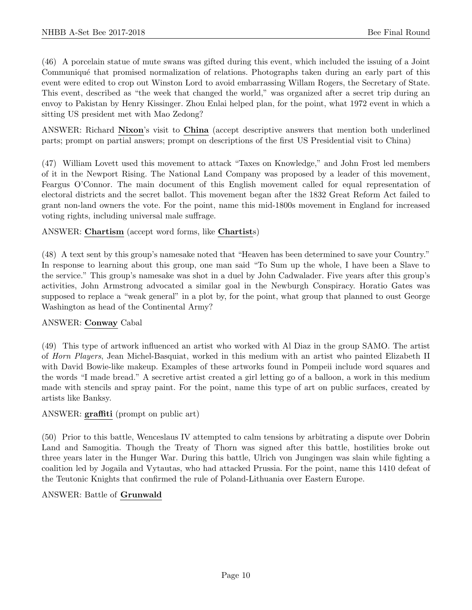(46) A porcelain statue of mute swans was gifted during this event, which included the issuing of a Joint Communiqué that promised normalization of relations. Photographs taken during an early part of this event were edited to crop out Winston Lord to avoid embarrassing Willam Rogers, the Secretary of State. This event, described as "the week that changed the world," was organized after a secret trip during an envoy to Pakistan by Henry Kissinger. Zhou Enlai helped plan, for the point, what 1972 event in which a sitting US president met with Mao Zedong?

ANSWER: Richard Nixon's visit to China (accept descriptive answers that mention both underlined parts; prompt on partial answers; prompt on descriptions of the first US Presidential visit to China)

(47) William Lovett used this movement to attack "Taxes on Knowledge," and John Frost led members of it in the Newport Rising. The National Land Company was proposed by a leader of this movement, Feargus O'Connor. The main document of this English movement called for equal representation of electoral districts and the secret ballot. This movement began after the 1832 Great Reform Act failed to grant non-land owners the vote. For the point, name this mid-1800s movement in England for increased voting rights, including universal male suffrage.

ANSWER: Chartism (accept word forms, like Chartists)

(48) A text sent by this group's namesake noted that "Heaven has been determined to save your Country." In response to learning about this group, one man said "To Sum up the whole, I have been a Slave to the service." This group's namesake was shot in a duel by John Cadwalader. Five years after this group's activities, John Armstrong advocated a similar goal in the Newburgh Conspiracy. Horatio Gates was supposed to replace a "weak general" in a plot by, for the point, what group that planned to oust George Washington as head of the Continental Army?

#### ANSWER: Conway Cabal

(49) This type of artwork influenced an artist who worked with Al Diaz in the group SAMO. The artist of Horn Players, Jean Michel-Basquiat, worked in this medium with an artist who painted Elizabeth II with David Bowie-like makeup. Examples of these artworks found in Pompeii include word squares and the words "I made bread." A secretive artist created a girl letting go of a balloon, a work in this medium made with stencils and spray paint. For the point, name this type of art on public surfaces, created by artists like Banksy.

#### ANSWER: graffiti (prompt on public art)

(50) Prior to this battle, Wenceslaus IV attempted to calm tensions by arbitrating a dispute over Dobrin Land and Samogitia. Though the Treaty of Thorn was signed after this battle, hostilities broke out three years later in the Hunger War. During this battle, Ulrich von Jungingen was slain while fighting a coalition led by Jogaila and Vytautas, who had attacked Prussia. For the point, name this 1410 defeat of the Teutonic Knights that confirmed the rule of Poland-Lithuania over Eastern Europe.

#### ANSWER: Battle of Grunwald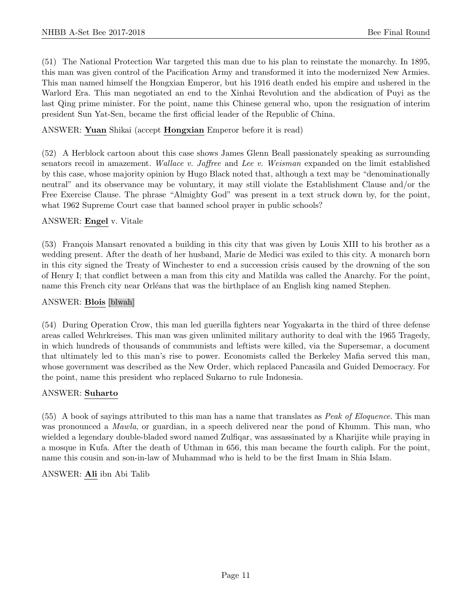(51) The National Protection War targeted this man due to his plan to reinstate the monarchy. In 1895, this man was given control of the Pacification Army and transformed it into the modernized New Armies. This man named himself the Hongxian Emperor, but his 1916 death ended his empire and ushered in the Warlord Era. This man negotiated an end to the Xinhai Revolution and the abdication of Puyi as the last Qing prime minister. For the point, name this Chinese general who, upon the resignation of interim president Sun Yat-Sen, became the first official leader of the Republic of China.

## ANSWER: Yuan Shikai (accept Hongxian Emperor before it is read)

(52) A Herblock cartoon about this case shows James Glenn Beall passionately speaking as surrounding senators recoil in amazement. Wallace v. Jaffree and Lee v. Weisman expanded on the limit established by this case, whose majority opinion by Hugo Black noted that, although a text may be "denominationally neutral" and its observance may be voluntary, it may still violate the Establishment Clause and/or the Free Exercise Clause. The phrase "Almighty God" was present in a text struck down by, for the point, what 1962 Supreme Court case that banned school prayer in public schools?

#### ANSWER: Engel v. Vitale

(53) François Mansart renovated a building in this city that was given by Louis XIII to his brother as a wedding present. After the death of her husband, Marie de Medici was exiled to this city. A monarch born in this city signed the Treaty of Winchester to end a succession crisis caused by the drowning of the son of Henry I; that conflict between a man from this city and Matilda was called the Anarchy. For the point, name this French city near Orléans that was the birthplace of an English king named Stephen.

#### ANSWER: Blois [blwah]

(54) During Operation Crow, this man led guerilla fighters near Yogyakarta in the third of three defense areas called Wehrkreises. This man was given unlimited military authority to deal with the 1965 Tragedy, in which hundreds of thousands of communists and leftists were killed, via the Supersemar, a document that ultimately led to this man's rise to power. Economists called the Berkeley Mafia served this man, whose government was described as the New Order, which replaced Pancasila and Guided Democracy. For the point, name this president who replaced Sukarno to rule Indonesia.

#### ANSWER: Suharto

 $(55)$  A book of sayings attributed to this man has a name that translates as *Peak of Eloquence*. This man was pronounced a *Mawla*, or guardian, in a speech delivered near the pond of Khumm. This man, who wielded a legendary double-bladed sword named Zulfiqar, was assassinated by a Kharijite while praying in a mosque in Kufa. After the death of Uthman in 656, this man became the fourth caliph. For the point, name this cousin and son-in-law of Muhammad who is held to be the first Imam in Shia Islam.

ANSWER: Ali ibn Abi Talib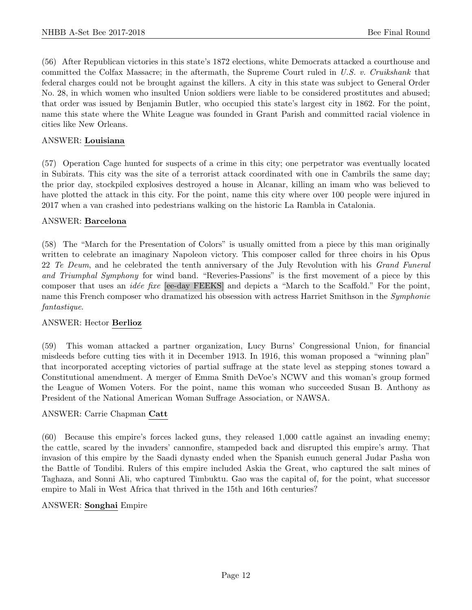(56) After Republican victories in this state's 1872 elections, white Democrats attacked a courthouse and committed the Colfax Massacre; in the aftermath, the Supreme Court ruled in U.S. v. Cruikshank that federal charges could not be brought against the killers. A city in this state was subject to General Order No. 28, in which women who insulted Union soldiers were liable to be considered prostitutes and abused; that order was issued by Benjamin Butler, who occupied this state's largest city in 1862. For the point, name this state where the White League was founded in Grant Parish and committed racial violence in cities like New Orleans.

#### ANSWER: Louisiana

(57) Operation Cage hunted for suspects of a crime in this city; one perpetrator was eventually located in Subirats. This city was the site of a terrorist attack coordinated with one in Cambrils the same day; the prior day, stockpiled explosives destroyed a house in Alcanar, killing an imam who was believed to have plotted the attack in this city. For the point, name this city where over 100 people were injured in 2017 when a van crashed into pedestrians walking on the historic La Rambla in Catalonia.

## ANSWER: Barcelona

(58) The "March for the Presentation of Colors" is usually omitted from a piece by this man originally written to celebrate an imaginary Napoleon victory. This composer called for three choirs in his Opus 22 Te Deum, and he celebrated the tenth anniversary of the July Revolution with his Grand Funeral and Triumphal Symphony for wind band. "Reveries-Passions" is the first movement of a piece by this composer that uses an *idée fixe* [ee-day FEEKS] and depicts a "March to the Scaffold." For the point, name this French composer who dramatized his obsession with actress Harriet Smithson in the *Symphonie* fantastique.

#### ANSWER: Hector Berlioz

(59) This woman attacked a partner organization, Lucy Burns' Congressional Union, for financial misdeeds before cutting ties with it in December 1913. In 1916, this woman proposed a "winning plan" that incorporated accepting victories of partial suffrage at the state level as stepping stones toward a Constitutional amendment. A merger of Emma Smith DeVoe's NCWV and this woman's group formed the League of Women Voters. For the point, name this woman who succeeded Susan B. Anthony as President of the National American Woman Suffrage Association, or NAWSA.

#### ANSWER: Carrie Chapman Catt

(60) Because this empire's forces lacked guns, they released 1,000 cattle against an invading enemy; the cattle, scared by the invaders' cannonfire, stampeded back and disrupted this empire's army. That invasion of this empire by the Saadi dynasty ended when the Spanish eunuch general Judar Pasha won the Battle of Tondibi. Rulers of this empire included Askia the Great, who captured the salt mines of Taghaza, and Sonni Ali, who captured Timbuktu. Gao was the capital of, for the point, what successor empire to Mali in West Africa that thrived in the 15th and 16th centuries?

#### ANSWER: Songhai Empire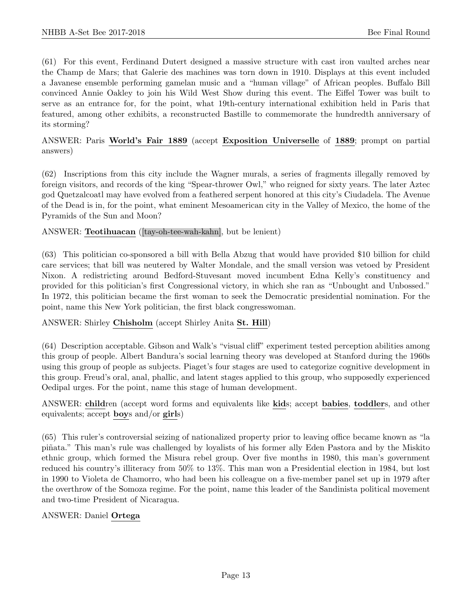(61) For this event, Ferdinand Dutert designed a massive structure with cast iron vaulted arches near the Champ de Mars; that Galerie des machines was torn down in 1910. Displays at this event included a Javanese ensemble performing gamelan music and a "human village" of African peoples. Buffalo Bill convinced Annie Oakley to join his Wild West Show during this event. The Eiffel Tower was built to serve as an entrance for, for the point, what 19th-century international exhibition held in Paris that featured, among other exhibits, a reconstructed Bastille to commemorate the hundredth anniversary of its storming?

ANSWER: Paris World's Fair 1889 (accept Exposition Universelle of 1889; prompt on partial answers)

(62) Inscriptions from this city include the Wagner murals, a series of fragments illegally removed by foreign visitors, and records of the king "Spear-thrower Owl," who reigned for sixty years. The later Aztec god Quetzalcoatl may have evolved from a feathered serpent honored at this city's Ciudadela. The Avenue of the Dead is in, for the point, what eminent Mesoamerican city in the Valley of Mexico, the home of the Pyramids of the Sun and Moon?

#### ANSWER: Teotihuacan ([tay-oh-tee-wah-kahn], but be lenient)

(63) This politician co-sponsored a bill with Bella Abzug that would have provided \$10 billion for child care services; that bill was neutered by Walter Mondale, and the small version was vetoed by President Nixon. A redistricting around Bedford-Stuvesant moved incumbent Edna Kelly's constituency and provided for this politician's first Congressional victory, in which she ran as "Unbought and Unbossed." In 1972, this politician became the first woman to seek the Democratic presidential nomination. For the point, name this New York politician, the first black congresswoman.

#### ANSWER: Shirley Chisholm (accept Shirley Anita St. Hill)

(64) Description acceptable. Gibson and Walk's "visual cliff" experiment tested perception abilities among this group of people. Albert Bandura's social learning theory was developed at Stanford during the 1960s using this group of people as subjects. Piaget's four stages are used to categorize cognitive development in this group. Freud's oral, anal, phallic, and latent stages applied to this group, who supposedly experienced Oedipal urges. For the point, name this stage of human development.

## ANSWER: children (accept word forms and equivalents like kids; accept babies, toddlers, and other equivalents; accept boys and/or girls)

(65) This ruler's controversial seizing of nationalized property prior to leaving office became known as "la piñata." This man's rule was challenged by loyalists of his former ally Eden Pastora and by the Miskito ethnic group, which formed the Misura rebel group. Over five months in 1980, this man's government reduced his country's illiteracy from 50% to 13%. This man won a Presidential election in 1984, but lost in 1990 to Violeta de Chamorro, who had been his colleague on a five-member panel set up in 1979 after the overthrow of the Somoza regime. For the point, name this leader of the Sandinista political movement and two-time President of Nicaragua.

#### ANSWER: Daniel Ortega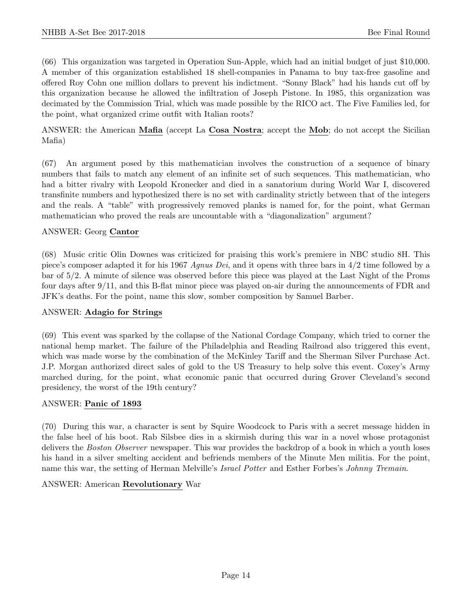(66) This organization was targeted in Operation Sun-Apple, which had an initial budget of just \$10,000. A member of this organization established 18 shell-companies in Panama to buy tax-free gasoline and offered Roy Cohn one million dollars to prevent his indictment. "Sonny Black" had his hands cut off by this organization because he allowed the infiltration of Joseph Pistone. In 1985, this organization was decimated by the Commission Trial, which was made possible by the RICO act. The Five Families led, for the point, what organized crime outfit with Italian roots?

ANSWER: the American Mafia (accept La Cosa Nostra; accept the Mob; do not accept the Sicilian Mafia)

(67) An argument posed by this mathematician involves the construction of a sequence of binary numbers that fails to match any element of an infinite set of such sequences. This mathematician, who had a bitter rivalry with Leopold Kronecker and died in a sanatorium during World War I, discovered transfinite numbers and hypothesized there is no set with cardinality strictly between that of the integers and the reals. A "table" with progressively removed planks is named for, for the point, what German mathematician who proved the reals are uncountable with a "diagonalization" argument?

## ANSWER: Georg Cantor

(68) Music critic Olin Downes was criticized for praising this work's premiere in NBC studio 8H. This piece's composer adapted it for his 1967 Agnus Dei, and it opens with three bars in 4/2 time followed by a bar of 5/2. A minute of silence was observed before this piece was played at the Last Night of the Proms four days after 9/11, and this B-flat minor piece was played on-air during the announcements of FDR and JFK's deaths. For the point, name this slow, somber composition by Samuel Barber.

#### ANSWER: Adagio for Strings

(69) This event was sparked by the collapse of the National Cordage Company, which tried to corner the national hemp market. The failure of the Philadelphia and Reading Railroad also triggered this event, which was made worse by the combination of the McKinley Tariff and the Sherman Silver Purchase Act. J.P. Morgan authorized direct sales of gold to the US Treasury to help solve this event. Coxey's Army marched during, for the point, what economic panic that occurred during Grover Cleveland's second presidency, the worst of the 19th century?

#### ANSWER: Panic of 1893

(70) During this war, a character is sent by Squire Woodcock to Paris with a secret message hidden in the false heel of his boot. Rab Silsbee dies in a skirmish during this war in a novel whose protagonist delivers the Boston Observer newspaper. This war provides the backdrop of a book in which a youth loses his hand in a silver smelting accident and befriends members of the Minute Men militia. For the point, name this war, the setting of Herman Melville's Israel Potter and Esther Forbes's Johnny Tremain.

#### ANSWER: American Revolutionary War